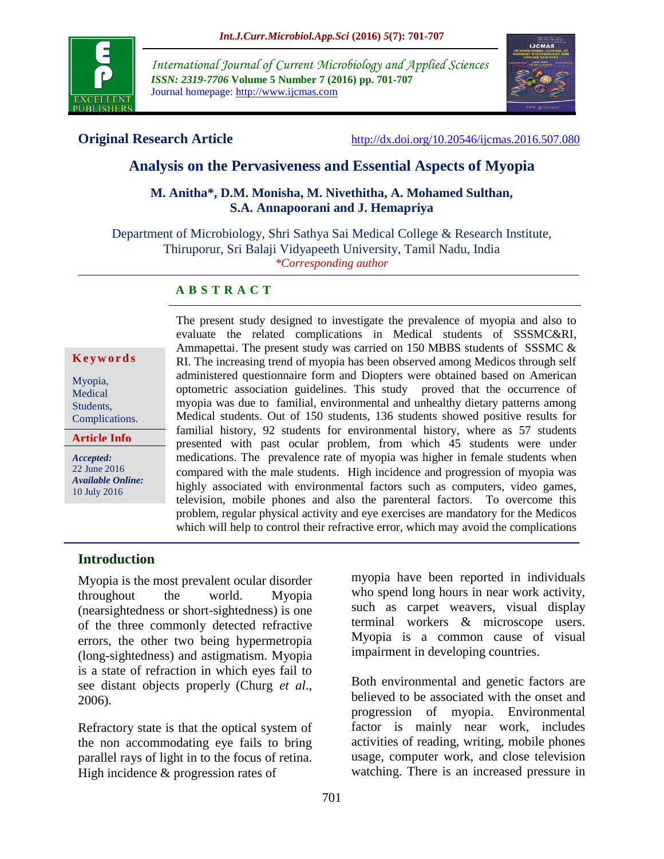

*International Journal of Current Microbiology and Applied Sciences ISSN: 2319-7706* **Volume 5 Number 7 (2016) pp. 701-707** Journal homepage: http://www.ijcmas.com



**Original Research Article** <http://dx.doi.org/10.20546/ijcmas.2016.507.080>

# **Analysis on the Pervasiveness and Essential Aspects of Myopia**

## **M. Anitha\*, D.M. Monisha, M. Nivethitha, A. Mohamed Sulthan, S.A. Annapoorani and J. Hemapriya**

Department of Microbiology, Shri Sathya Sai Medical College & Research Institute, Thiruporur, Sri Balaji Vidyapeeth University, Tamil Nadu, India *\*Corresponding author*

## **A B S T R A C T**

#### **K e y w o r d s**

Myopia, Medical Students, Complications.

**Article Info**

*Accepted:*  22 June 2016 *Available Online:* 10 July 2016

The present study designed to investigate the prevalence of myopia and also to evaluate the related complications in Medical students of SSSMC&RI, Ammapettai. The present study was carried on 150 MBBS students of SSSMC  $\&$ RI. The increasing trend of myopia has been observed among Medicos through self administered questionnaire form and Diopters were obtained based on American optometric association guidelines. This study proved that the occurrence of myopia was due to familial, environmental and unhealthy dietary patterns among Medical students. Out of 150 students, 136 students showed positive results for familial history, 92 students for environmental history, where as 57 students presented with past ocular problem, from which 45 students were under medications. The prevalence rate of myopia was higher in female students when compared with the male students. High incidence and progression of myopia was highly associated with environmental factors such as computers, video games, television, mobile phones and also the parenteral factors. To overcome this problem, regular physical activity and eye exercises are mandatory for the Medicos which will help to control their refractive error, which may avoid the complications

## **Introduction**

Myopia is the most prevalent ocular disorder throughout the world. Myopia (nearsightedness or short-sightedness) is one of the three commonly detected refractive errors, the other two being hypermetropia (long-sightedness) and astigmatism. Myopia is a state of refraction in which eyes fail to see distant objects properly (Churg *et al*., 2006).

of myopia.

Refractory state is that the optical system of the non accommodating eye fails to bring parallel rays of light in to the focus of retina. High incidence & progression rates of

myopia have been reported in individuals who spend long hours in near work activity, such as carpet weavers, visual display terminal workers & microscope users. Myopia is a common cause of visual impairment in developing countries.

Both environmental and genetic factors are believed to be associated with the onset and progression of myopia. Environmental factor is mainly near work, includes activities of reading, writing, mobile phones usage, computer work, and close television watching. There is an increased pressure in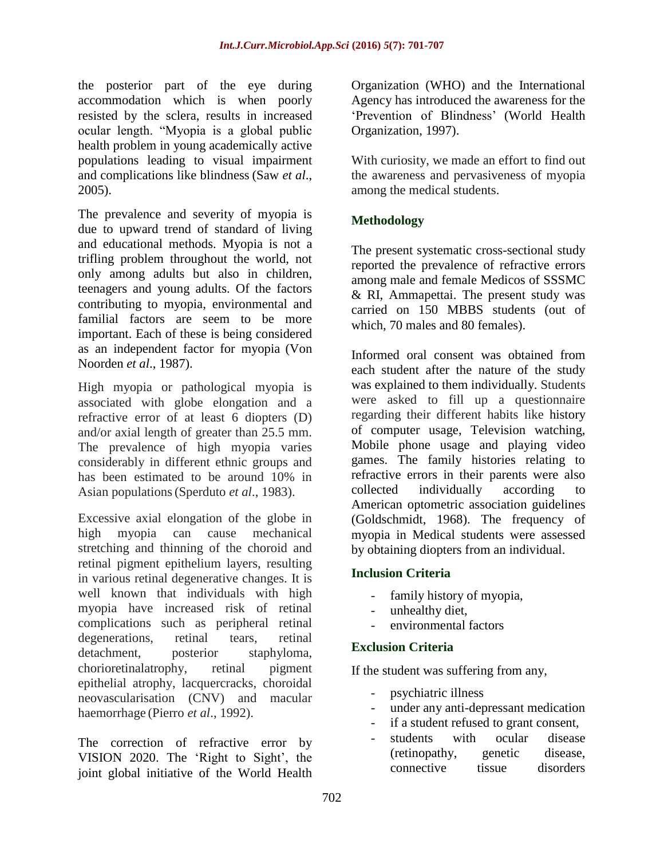the posterior part of the eye during accommodation which is when poorly resisted by the sclera, results in increased ocular length. "Myopia is a global public health problem in young academically active populations leading to visual impairment and complications like blindness (Saw *et al*., 2005).

The prevalence and severity of myopia is due to upward trend of standard of living and educational methods. Myopia is not a trifling problem throughout the world, not only among adults but also in children, teenagers and young adults. Of the factors contributing to myopia, environmental and familial factors are seem to be more important. Each of these is being considered as an independent factor for myopia (Von Noorden *et al*., 1987).

High myopia or pathological myopia is associated with globe elongation and a refractive error of at least 6 diopters (D) and/or axial length of greater than 25.5 mm. The prevalence of high myopia varies considerably in different ethnic groups and has been estimated to be around 10% in Asian populations(Sperduto *et al*., 1983).

Excessive axial elongation of the globe in high myopia can cause mechanical stretching and thinning of the choroid and retinal pigment epithelium layers, resulting in various retinal degenerative changes. It is well known that individuals with high myopia have increased risk of retinal complications such as peripheral retinal degenerations, retinal tears, retinal detachment, posterior staphyloma, chorioretinalatrophy, retinal pigment epithelial atrophy, lacquercracks, choroidal neovascularisation (CNV) and macular haemorrhage (Pierro *et al*., 1992).

The correction of refractive error by VISION 2020. The 'Right to Sight', the joint global initiative of the World Health

Organization (WHO) and the International Agency has introduced the awareness for the 'Prevention of Blindness' (World Health Organization, 1997).

With curiosity, we made an effort to find out the awareness and pervasiveness of myopia among the medical students.

# **Methodology**

The present systematic cross-sectional study reported the prevalence of refractive errors among male and female Medicos of SSSMC & RI, Ammapettai. The present study was carried on 150 MBBS students (out of which, 70 males and 80 females).

Informed oral consent was obtained from each student after the nature of the study was explained to them individually. Students were asked to fill up a questionnaire regarding their different habits like history of computer usage, Television watching, Mobile phone usage and playing video games. The family histories relating to refractive errors in their parents were also collected individually according to American optometric association guidelines (Goldschmidt, 1968). The frequency of myopia in Medical students were assessed by obtaining diopters from an individual.

### **Inclusion Criteria**

- family history of myopia,
- unhealthy diet.
- environmental factors

### **Exclusion Criteria**

If the student was suffering from any,

- psychiatric illness
- under any anti-depressant medication
- if a student refused to grant consent,
- students with ocular disease (retinopathy, genetic disease, connective tissue disorders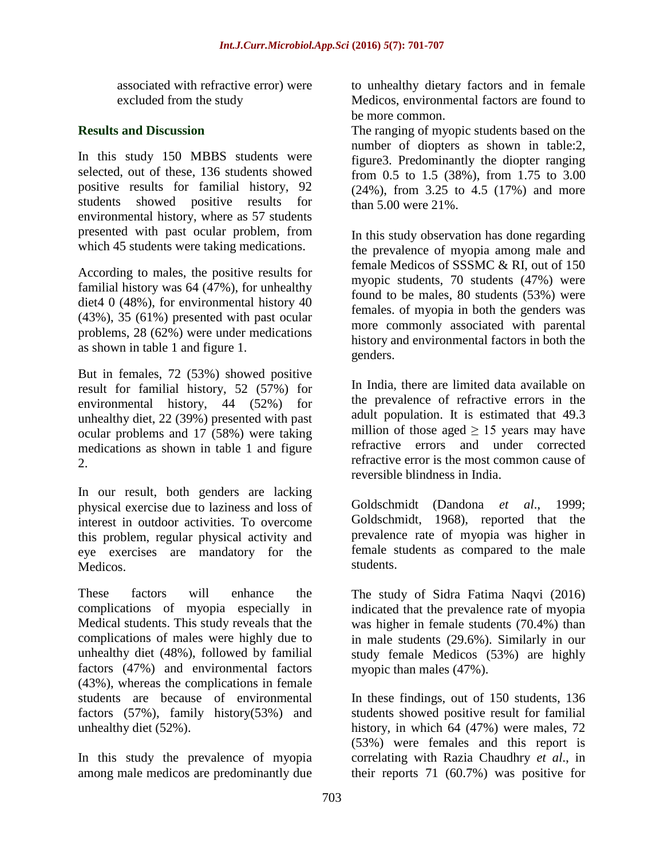associated with refractive error) were excluded from the study

# **Results and Discussion**

In this study 150 MBBS students were selected, out of these, 136 students showed positive results for familial history, 92 students showed positive results for environmental history, where as 57 students presented with past ocular problem, from which 45 students were taking medications.

According to males, the positive results for familial history was 64 (47%), for unhealthy diet4 0 (48%), for environmental history 40 (43%), 35 (61%) presented with past ocular problems, 28 (62%) were under medications as shown in table 1 and figure 1.

But in females, 72 (53%) showed positive result for familial history, 52 (57%) for environmental history, 44 (52%) for unhealthy diet, 22 (39%) presented with past ocular problems and 17 (58%) were taking medications as shown in table 1 and figure 2.

In our result, both genders are lacking physical exercise due to laziness and loss of interest in outdoor activities. To overcome this problem, regular physical activity and eye exercises are mandatory for the Medicos.

These factors will enhance the complications of myopia especially in Medical students. This study reveals that the complications of males were highly due to unhealthy diet (48%), followed by familial factors (47%) and environmental factors (43%), whereas the complications in female students are because of environmental factors (57%), family history(53%) and unhealthy diet (52%).

In this study the prevalence of myopia among male medicos are predominantly due to unhealthy dietary factors and in female Medicos, environmental factors are found to be more common.

The ranging of myopic students based on the number of diopters as shown in table:2, figure3. Predominantly the diopter ranging from 0.5 to 1.5 (38%), from 1.75 to 3.00 (24%), from 3.25 to 4.5 (17%) and more than 5.00 were 21%.

In this study observation has done regarding the prevalence of myopia among male and female Medicos of SSSMC & RI, out of 150 myopic students, 70 students (47%) were found to be males, 80 students (53%) were females. of myopia in both the genders was more commonly associated with parental history and environmental factors in both the genders.

In India, there are limited data available on the prevalence of refractive errors in the adult population. It is estimated that 49.3 million of those aged  $\geq$  15 years may have refractive errors and under corrected refractive error is the most common cause of reversible blindness in India.

Goldschmidt (Dandona *et al*., 1999; Goldschmidt, 1968), reported that the prevalence rate of myopia was higher in female students as compared to the male students.

The study of Sidra Fatima Naqvi (2016) indicated that the prevalence rate of myopia was higher in female students (70.4%) than in male students (29.6%). Similarly in our study female Medicos (53%) are highly myopic than males (47%).

In these findings, out of 150 students, 136 students showed positive result for familial history, in which 64 (47%) were males, 72 (53%) were females and this report is correlating with Razia Chaudhry *et al*., in their reports 71 (60.7%) was positive for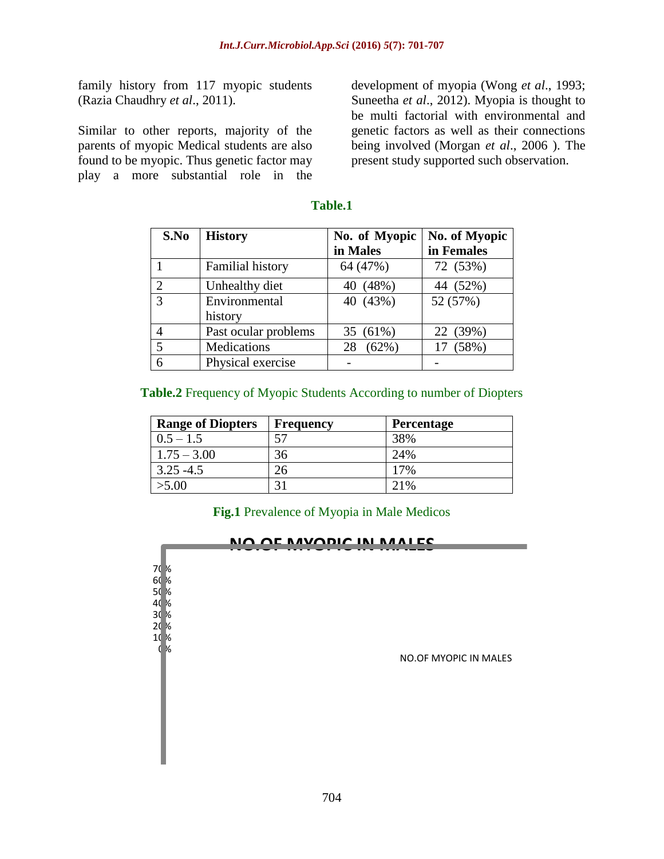family history from 117 myopic students (Razia Chaudhry *et al*., 2011).

Similar to other reports, majority of the parents of myopic Medical students are also found to be myopic. Thus genetic factor may play a more substantial role in the

development of myopia (Wong *et al*., 1993; Suneetha *et al*., 2012). Myopia is thought to be multi factorial with environmental and genetic factors as well as their connections being involved (Morgan *et al*., 2006 ). The present study supported such observation.

| S.No           | <b>History</b>           | No. of Myopic<br>in Males | No. of Myopic<br>in Females |
|----------------|--------------------------|---------------------------|-----------------------------|
|                | <b>Familial history</b>  | 64 (47%)                  | 72 (53%)                    |
| $\overline{2}$ | Unhealthy diet           | 40 (48%)                  | 44 (52%)                    |
| 3              | Environmental<br>history | 40 (43%)                  | 52 (57%)                    |
|                | Past ocular problems     | 35 (61%)                  | 22 (39%)                    |
| $\overline{5}$ | Medications              | (62%)<br>28               | 17 (58%)                    |
| 6              | Physical exercise        |                           |                             |

#### **Table.1**

#### **Table.2** Frequency of Myopic Students According to number of Diopters

| <b>Range of Diopters</b> | <b>Frequency</b> | <b>Percentage</b> |
|--------------------------|------------------|-------------------|
| $0.5 - 1.5$              |                  | 38%               |
| $1.75 - 3.00$            | 36               | 24%               |
| $3.25 - 4.5$             |                  | 17%               |
| >5.00                    |                  | 2.1%              |

## **Fig.1** Prevalence of Myopia in Male Medicos

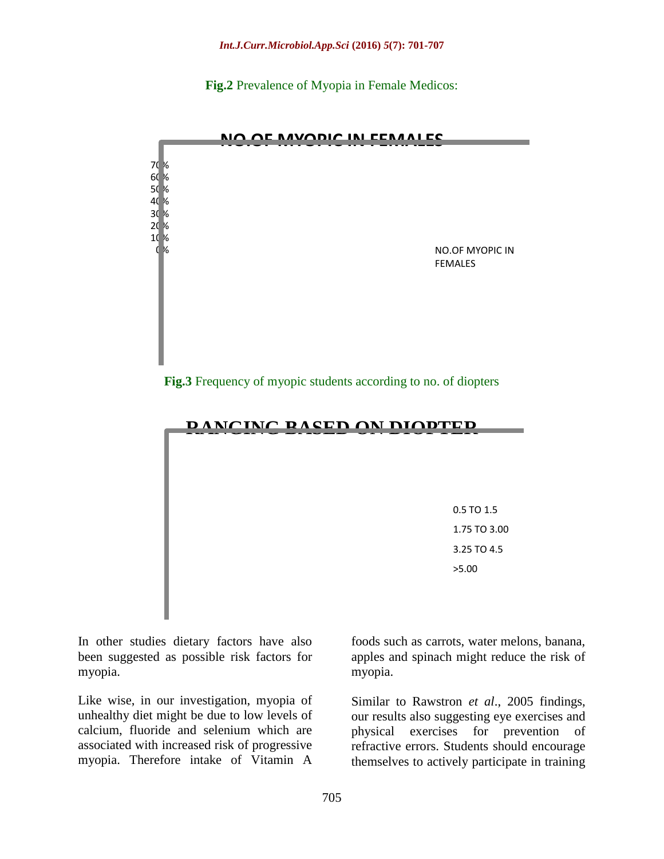**Fig.2** Prevalence of Myopia in Female Medicos:



**Fig.3** Frequency of myopic students according to no. of diopters



In other studies dietary factors have also been suggested as possible risk factors for myopia.

Like wise, in our investigation, myopia of unhealthy diet might be due to low levels of calcium, fluoride and selenium which are associated with increased risk of progressive myopia. Therefore intake of Vitamin A

foods such as carrots, water melons, banana, apples and spinach might reduce the risk of myopia.

Similar to Rawstron *et al*., 2005 findings, our results also suggesting eye exercises and physical exercises for prevention of refractive errors. Students should encourage themselves to actively participate in training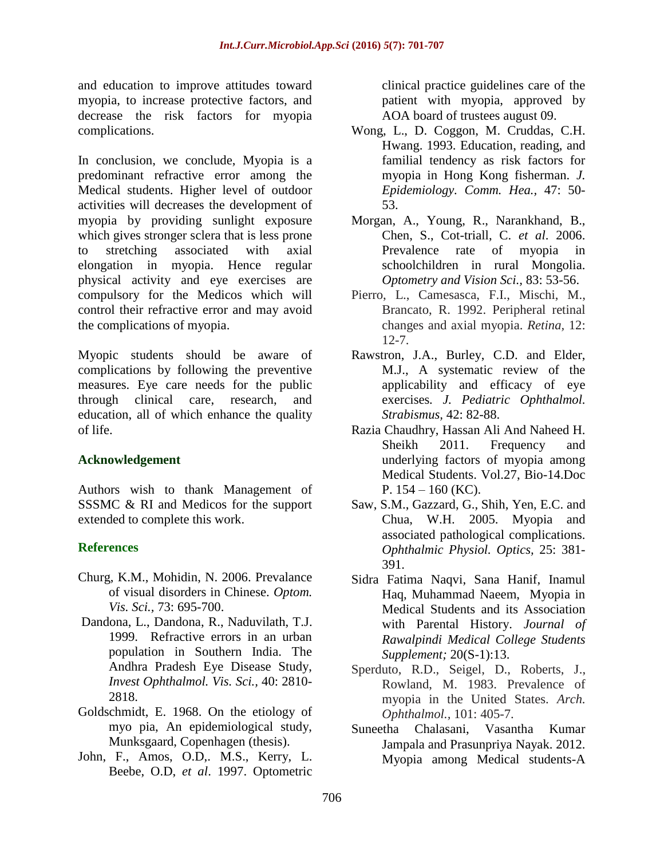and education to improve attitudes toward myopia, to increase protective factors, and decrease the risk factors for myopia complications.

In conclusion, we conclude, Myopia is a predominant refractive error among the Medical students. Higher level of outdoor activities will decreases the development of myopia by providing sunlight exposure which gives stronger sclera that is less prone to stretching associated with axial elongation in myopia. Hence regular physical activity and eye exercises are compulsory for the Medicos which will control their refractive error and may avoid the complications of myopia.

Myopic students should be aware of complications by following the preventive measures. Eye care needs for the public through clinical care, research, and education, all of which enhance the quality of life.

# **Acknowledgement**

Authors wish to thank Management of SSSMC & RI and Medicos for the support extended to complete this work.

# **References**

- Churg, K.M., Mohidin, N. 2006. Prevalance of visual disorders in Chinese. *Optom. Vis. Sci.,* 73: 695-700.
- Dandona, L., Dandona, R., Naduvilath, T.J. 1999. Refractive errors in an urban population in Southern India. The Andhra Pradesh Eye Disease Study, *Invest Ophthalmol. Vis. Sci.,* 40: 2810- 2818.
- Goldschmidt, E. 1968. On the etiology of myo pia, An epidemiological study, Munksgaard, Copenhagen (thesis).
- John, F., Amos, O.D,. M.S., Kerry, L. Beebe, O.D, *et al*. 1997. Optometric

clinical practice guidelines care of the patient with myopia, approved by AOA board of trustees august 09.

- Wong, L., D. Coggon, M. Cruddas, C.H. Hwang. 1993. Education, reading, and familial tendency as risk factors for myopia in Hong Kong fisherman. *J. Epidemiology. Comm. Hea.,* 47: 50- 53.
- Morgan, A., Young, R., Narankhand, B., Chen, S., Cot-triall, C. *et al*. 2006. Prevalence rate of myopia in schoolchildren in rural Mongolia. *Optometry and Vision Sci.,* 83: 53-56.
- Pierro, L., Camesasca, F.I., Mischi, M., Brancato, R. 1992. Peripheral retinal changes and axial myopia. *Retina,* 12:  $12 - 7$ .
- Rawstron, J.A., Burley, C.D. and Elder, M.J., A systematic review of the applicability and efficacy of eye exercises*. J. Pediatric Ophthalmol. Strabismus,* 42: 82-88.
- Razia Chaudhry, Hassan Ali And Naheed H. Sheikh 2011. Frequency and underlying factors of myopia among Medical Students. Vol.27, Bio-14.Doc P.  $154 - 160$  (KC).
- Saw, S.M., Gazzard, G., Shih, Yen, E.C. and Chua, W.H. 2005. Myopia and associated pathological complications. *Ophthalmic Physiol. Optics,* 25: 381- 391.
- Sidra Fatima Naqvi, Sana Hanif, Inamul Haq, Muhammad Naeem, Myopia in Medical Students and its Association with Parental History. *Journal of Rawalpindi Medical College Students Supplement;* 20(S-1):13.
- Sperduto, R.D., Seigel, D., Roberts, J., Rowland, M. 1983. Prevalence of myopia in the United States. *Arch. Ophthalmol.,* 101: 405-7.
- Suneetha Chalasani, Vasantha Kumar Jampala and Prasunpriya Nayak. 2012. Myopia among Medical students-A